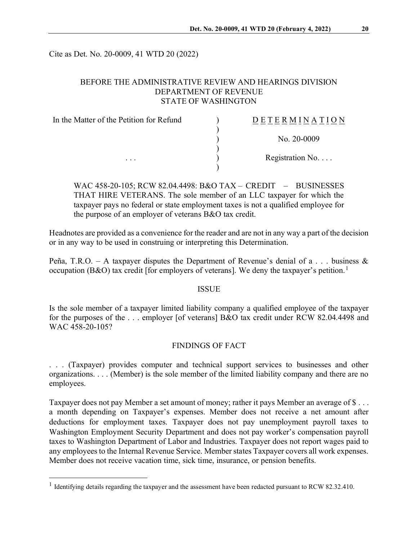Cite as Det. No. 20-0009, 41 WTD 20 (2022)

# BEFORE THE ADMINISTRATIVE REVIEW AND HEARINGS DIVISION DEPARTMENT OF REVENUE STATE OF WASHINGTON

| In the Matter of the Petition for Refund | DETERMINATION            |
|------------------------------------------|--------------------------|
|                                          |                          |
|                                          | No. $20-0009$            |
|                                          |                          |
| $\cdots$                                 | Registration No. $\dots$ |
|                                          |                          |

WAC 458-20-105; RCW 82.04.4498; B&O TAX – CREDIT – BUSINESSES THAT HIRE VETERANS. The sole member of an LLC taxpayer for which the taxpayer pays no federal or state employment taxes is not a qualified employee for the purpose of an employer of veterans B&O tax credit.

Headnotes are provided as a convenience for the reader and are not in any way a part of the decision or in any way to be used in construing or interpreting this Determination.

Peña, T.R.O. – A taxpayer disputes the Department of Revenue's denial of a . . . business  $\&$ occupation (B&O) tax credit [for employers of veterans]. We deny the taxpayer's petition.<sup>[1](#page-0-0)</sup>

#### ISSUE

Is the sole member of a taxpayer limited liability company a qualified employee of the taxpayer for the purposes of the . . . employer [of veterans] B&O tax credit under RCW 82.04.4498 and WAC 458-20-105?

#### FINDINGS OF FACT

. . . (Taxpayer) provides computer and technical support services to businesses and other organizations. . . . (Member) is the sole member of the limited liability company and there are no employees.

Taxpayer does not pay Member a set amount of money; rather it pays Member an average of \$... a month depending on Taxpayer's expenses. Member does not receive a net amount after deductions for employment taxes. Taxpayer does not pay unemployment payroll taxes to Washington Employment Security Department and does not pay worker's compensation payroll taxes to Washington Department of Labor and Industries. Taxpayer does not report wages paid to any employees to the Internal Revenue Service. Member states Taxpayer covers all work expenses. Member does not receive vacation time, sick time, insurance, or pension benefits.

<span id="page-0-0"></span><sup>&</sup>lt;sup>1</sup> Identifying details regarding the taxpayer and the assessment have been redacted pursuant to RCW 82.32.410.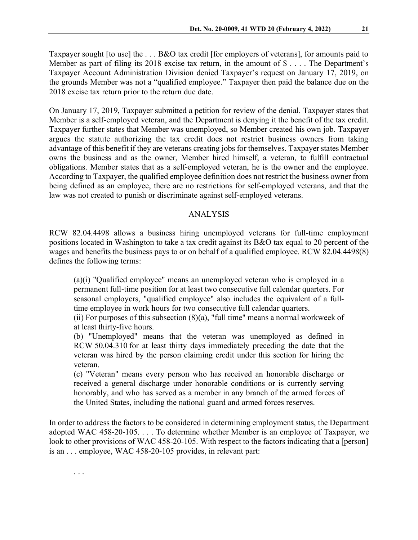Taxpayer sought [to use] the . . . B&O tax credit [for employers of veterans], for amounts paid to Member as part of filing its 2018 excise tax return, in the amount of \$ . . . . The Department's Taxpayer Account Administration Division denied Taxpayer's request on January 17, 2019, on the grounds Member was not a "qualified employee." Taxpayer then paid the balance due on the 2018 excise tax return prior to the return due date.

On January 17, 2019, Taxpayer submitted a petition for review of the denial. Taxpayer states that Member is a self-employed veteran, and the Department is denying it the benefit of the tax credit. Taxpayer further states that Member was unemployed, so Member created his own job. Taxpayer argues the statute authorizing the tax credit does not restrict business owners from taking advantage of this benefit if they are veterans creating jobs for themselves. Taxpayer states Member owns the business and as the owner, Member hired himself, a veteran, to fulfill contractual obligations. Member states that as a self-employed veteran, he is the owner and the employee. According to Taxpayer, the qualified employee definition does not restrict the business owner from being defined as an employee, there are no restrictions for self-employed veterans, and that the law was not created to punish or discriminate against self-employed veterans.

### ANALYSIS

RCW 82.04.4498 allows a business hiring unemployed veterans for full-time employment positions located in Washington to take a tax credit against its B&O tax equal to 20 percent of the wages and benefits the business pays to or on behalf of a qualified employee. RCW 82.04.4498(8) defines the following terms:

(a)(i) "Qualified employee" means an unemployed veteran who is employed in a permanent full-time position for at least two consecutive full calendar quarters. For seasonal employers, "qualified employee" also includes the equivalent of a fulltime employee in work hours for two consecutive full calendar quarters.

(ii) For purposes of this subsection  $(8)(a)$ , "full time" means a normal workweek of at least thirty-five hours.

(b) "Unemployed" means that the veteran was unemployed as defined in RCW 50.04.310 for at least thirty days immediately preceding the date that the veteran was hired by the person claiming credit under this section for hiring the veteran.

(c) "Veteran" means every person who has received an honorable discharge or received a general discharge under honorable conditions or is currently serving honorably, and who has served as a member in any branch of the armed forces of the United States, including the national guard and armed forces reserves.

In order to address the factors to be considered in determining employment status, the Department adopted WAC 458-20-105. . . . To determine whether Member is an employee of Taxpayer, we look to other provisions of WAC 458-20-105. With respect to the factors indicating that a [person] is an . . . employee, WAC 458-20-105 provides, in relevant part:

. . .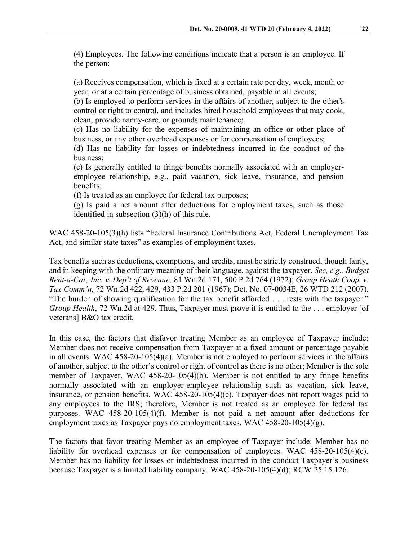(4) Employees. The following conditions indicate that a person is an employee. If the person:

(a) Receives compensation, which is fixed at a certain rate per day, week, month or year, or at a certain percentage of business obtained, payable in all events;

(b) Is employed to perform services in the affairs of another, subject to the other's control or right to control, and includes hired household employees that may cook, clean, provide nanny-care, or grounds maintenance;

(c) Has no liability for the expenses of maintaining an office or other place of business, or any other overhead expenses or for compensation of employees;

(d) Has no liability for losses or indebtedness incurred in the conduct of the business;

(e) Is generally entitled to fringe benefits normally associated with an employeremployee relationship, e.g., paid vacation, sick leave, insurance, and pension benefits;

(f) Is treated as an employee for federal tax purposes;

(g) Is paid a net amount after deductions for employment taxes, such as those identified in subsection (3)(h) of this rule.

WAC 458-20-105(3)(h) lists "Federal Insurance Contributions Act, Federal Unemployment Tax Act, and similar state taxes" as examples of employment taxes.

Tax benefits such as deductions, exemptions, and credits, must be strictly construed, though fairly, and in keeping with the ordinary meaning of their language, against the taxpayer. *See, e.g., Budget Rent-a-Car, Inc. v. Dep't of Revenue,* 81 Wn.2d 171, 500 P.2d 764 (1972); *Group Heath Coop. v. Tax Comm'n*, 72 Wn.2d 422, 429, 433 P.2d 201 (1967); Det. No. 07-0034E, 26 WTD 212 (2007). "The burden of showing qualification for the tax benefit afforded . . . rests with the taxpayer." *Group Health*, 72 Wn.2d at 429. Thus, Taxpayer must prove it is entitled to the ... employer [of veterans] B&O tax credit.

In this case, the factors that disfavor treating Member as an employee of Taxpayer include: Member does not receive compensation from Taxpayer at a fixed amount or percentage payable in all events. WAC 458-20-105(4)(a). Member is not employed to perform services in the affairs of another, subject to the other's control or right of control as there is no other; Member is the sole member of Taxpayer. WAC 458-20-105(4)(b). Member is not entitled to any fringe benefits normally associated with an employer-employee relationship such as vacation, sick leave, insurance, or pension benefits. WAC 458-20-105(4)(e). Taxpayer does not report wages paid to any employees to the IRS; therefore, Member is not treated as an employee for federal tax purposes. WAC 458-20-105(4)(f). Member is not paid a net amount after deductions for employment taxes as Taxpayer pays no employment taxes. WAC 458-20-105(4)(g).

The factors that favor treating Member as an employee of Taxpayer include: Member has no liability for overhead expenses or for compensation of employees. WAC 458-20-105(4)(c). Member has no liability for losses or indebtedness incurred in the conduct Taxpayer's business because Taxpayer is a limited liability company. WAC 458-20-105(4)(d); RCW 25.15.126.